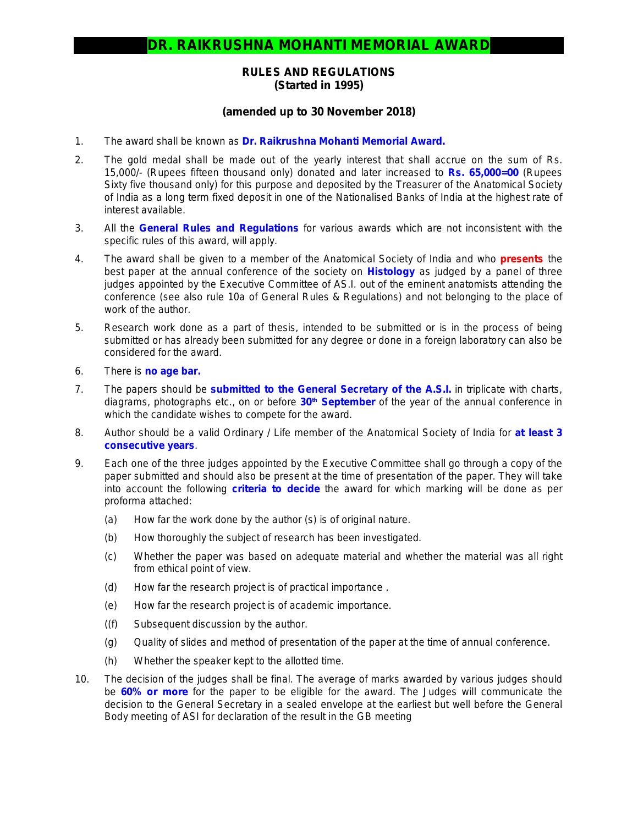## **RULES AND REGULATIONS (Started in 1995)**

## **(amended up to 30 November 2018)**

- 1. The award shall be known as **Dr. Raikrushna Mohanti Memorial Award.**
- 2. The gold medal shall be made out of the yearly interest that shall accrue on the sum of Rs. 15,000/- (Rupees fifteen thousand only) donated and later increased to **Rs. 65,000=00** (Rupees Sixty five thousand only) for this purpose and deposited by the Treasurer of the Anatomical Society of India as a long term fixed deposit in one of the Nationalised Banks of India at the highest rate of interest available.
- 3. All the **General Rules and Regulations** for various awards which are not inconsistent with the specific rules of this award, will apply.
- 4. The award shall be given to a member of the Anatomical Society of India and who **presents** the best paper at the annual conference of the society on **Histology** as judged by a panel of three judges appointed by the Executive Committee of AS.I. out of the eminent anatomists attending the conference *(see also rule 10a of General Rules & Regulations)* and not belonging to the place of work of the author.
- 5. Research work done as a part of thesis, intended to be submitted or is in the process of being submitted or has already been submitted for any degree or done in a foreign laboratory can also be considered for the award.
- 6. There is *no age bar.*
- 7. The papers should be **submitted to the General Secretary of the A.S.I.** in triplicate with charts, diagrams, photographs etc., on or before **30th September** of the year of the annual conference in which the candidate wishes to compete for the award.
- 8. Author should be a valid Ordinary / Life member of the Anatomical Society of India for **at least 3 consecutive years**.
- 9. Each one of the three judges appointed by the Executive Committee shall go through a copy of the paper submitted and should also be present at the time of presentation of the paper. They will take into account the following **criteria to decide** the award for which marking will be done as per proforma attached:
	- (a) How far the work done by the author (s) is of original nature.
	- (b) How thoroughly the subject of research has been investigated.
	- (c) Whether the paper was based on adequate material and whether the material was all right from ethical point of view.
	- (d) How far the research project is of practical importance .
	- (e) How far the research project is of academic importance.
	- ((f) Subsequent discussion by the author.
	- (g) Quality of slides and method of presentation of the paper at the time of annual conference.
	- (h) Whether the speaker kept to the allotted time.
- 10. The decision of the judges shall be final. The average of marks awarded by various judges should be **60% or more** for the paper to be eligible for the award. The Judges will communicate the decision to the General Secretary in a sealed envelope at the earliest but well before the General Body meeting of ASI for declaration of the result in the GB meeting